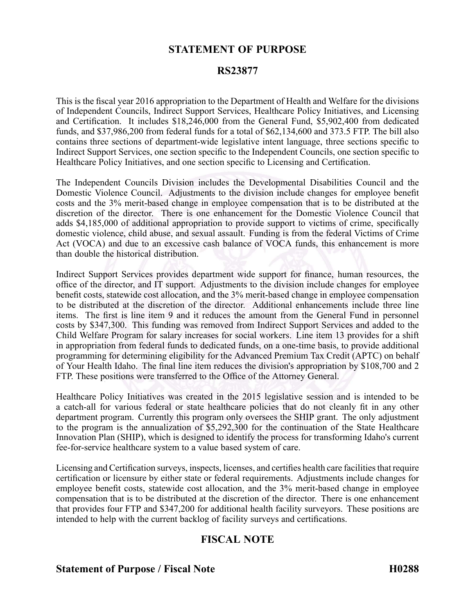## **STATEMENT OF PURPOSE**

#### **RS23877**

This is the fiscal year 2016 appropriation to the Department of Health and Welfare for the divisions of Independent Councils, Indirect Support Services, Healthcare Policy Initiatives, and Licensing and Certification. It includes \$18,246,000 from the General Fund, \$5,902,400 from dedicated funds, and \$37,986,200 from federal funds for <sup>a</sup> total of \$62,134,600 and 373.5 FTP. The bill also contains three sections of department-wide legislative intent language, three sections specific to Indirect Support Services, one section specific to the Independent Councils, one section specific to Healthcare Policy Initiatives, and one section specific to Licensing and Certification.

The Independent Councils Division includes the Developmental Disabilities Council and the Domestic Violence Council. Adjustments to the division include changes for employee benefit costs and the 3% merit-based change in employee compensation that is to be distributed at the discretion of the director. There is one enhancement for the Domestic Violence Council that adds \$4,185,000 of additional appropriation to provide suppor<sup>t</sup> to victims of crime, specifically domestic violence, child abuse, and sexual assault. Funding is from the federal Victims of Crime Act (VOCA) and due to an excessive cash balance of VOCA funds, this enhancement is more than double the historical distribution.

Indirect Support Services provides department wide suppor<sup>t</sup> for finance, human resources, the office of the director, and IT support. Adjustments to the division include changes for employee benefit costs, statewide cost allocation, and the 3% merit-based change in employee compensation to be distributed at the discretion of the director. Additional enhancements include three line items. The first is line item 9 and it reduces the amount from the General Fund in personnel costs by \$347,300. This funding was removed from Indirect Support Services and added to the Child Welfare Program for salary increases for social workers. Line item 13 provides for <sup>a</sup> shift in appropriation from federal funds to dedicated funds, on <sup>a</sup> one-time basis, to provide additional programming for determining eligibility for the Advanced Premium Tax Credit (APTC) on behalf of Your Health Idaho. The final line item reduces the division's appropriation by \$108,700 and 2 FTP. These positions were transferred to the Office of the Attorney General.

Healthcare Policy Initiatives was created in the 2015 legislative session and is intended to be <sup>a</sup> catch-all for various federal or state healthcare policies that do not cleanly fit in any other department program. Currently this program only oversees the SHIP grant. The only adjustment to the program is the annualization of \$5,292,300 for the continuation of the State Healthcare Innovation Plan (SHIP), which is designed to identify the process for transforming Idaho's current fee-for-service healthcare system to <sup>a</sup> value based system of care.

Licensing and Certification surveys, inspects, licenses, and certifies health care facilitiesthat require certification or licensure by either state or federal requirements. Adjustments include changes for employee benefit costs, statewide cost allocation, and the 3% merit-based change in employee compensation that is to be distributed at the discretion of the director. There is one enhancement that provides four FTP and \$347,200 for additional health facility surveyors. These positions are intended to help with the current backlog of facility surveys and certifications.

## **FISCAL NOTE**

**Statement of Purpose / Fiscal Note H0288**